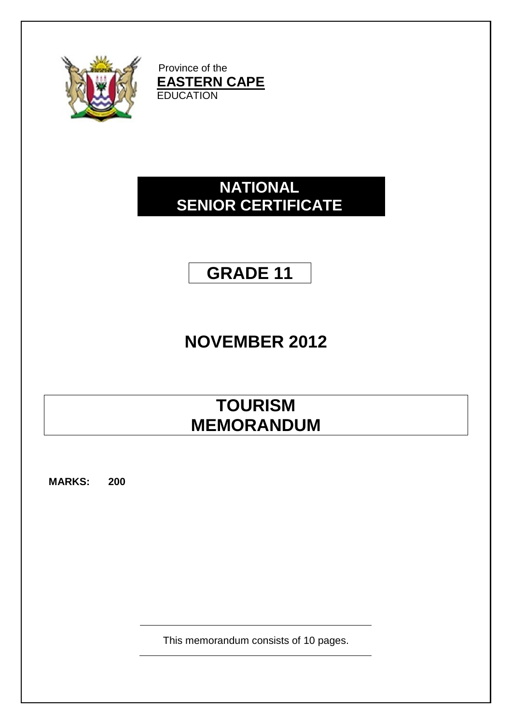

Province of the **EASTERN CAPE EDUCATION** 

## **NATIONAL SENIOR CERTIFICATE**

## **GRADE 11**

# **NOVEMBER 2012**

## **TOURISM MEMORANDUM**

**MARKS: 200**

This memorandum consists of 10 pages.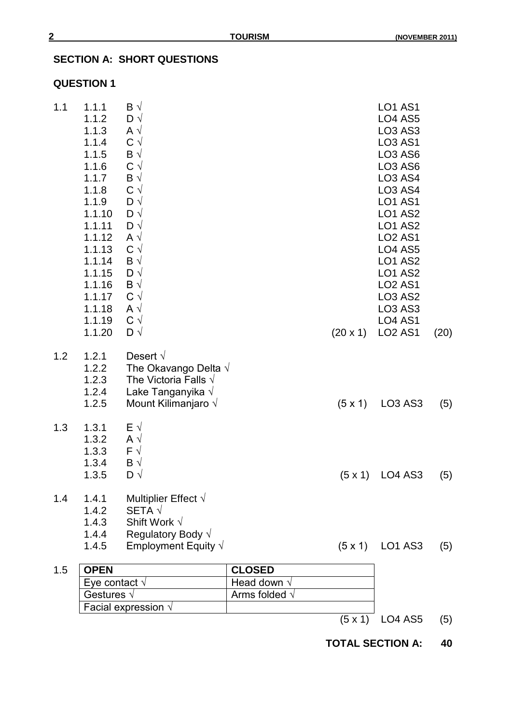### **SECTION A: SHORT QUESTIONS**

Facial expression √

#### **QUESTION 1**

| 1.1 | 1.1.1<br>1.1.2<br>1.1.3<br>1.1.4<br>1.1.5<br>1.1.6<br>1.1.7<br>1.1.8<br>1.1.9<br>1.1.10          | $\mathsf{B} \sqrt{ }$<br>$D \sqrt{}$<br>Aν<br>$C \vee$<br>$\mathsf{B} \sqrt{ }$<br>$C \vee$<br>$\mathsf{B} \mathsf{V}$<br>$C \vee$<br>$D \sqrt{}$<br>$D \sqrt{}$ |                       |                | <b>LO1 AS1</b><br><b>LO4 AS5</b><br><b>LO3 AS3</b><br><b>LO3 AS1</b><br>LO <sub>3</sub> AS <sub>6</sub><br>LO <sub>3</sub> AS <sub>6</sub><br><b>LO3 AS4</b><br><b>LO3 AS4</b><br><b>LO1 AS1</b><br><b>LO1 AS2</b> |      |
|-----|--------------------------------------------------------------------------------------------------|------------------------------------------------------------------------------------------------------------------------------------------------------------------|-----------------------|----------------|--------------------------------------------------------------------------------------------------------------------------------------------------------------------------------------------------------------------|------|
|     | 1.1.11<br>1.1.12<br>1.1.13<br>1.1.14<br>1.1.15<br>1.1.16<br>1.1.17<br>1.1.18<br>1.1.19<br>1.1.20 | $D \sqrt{}$<br>A $\sqrt{ }$<br>$C \vee$<br>$\mathsf{B} \mathsf{V}$<br>$D \sqrt{}$<br>$\mathsf{B} \sqrt{ }$<br>$C \vee$<br>Aν<br>$C \vee$<br>$D \sqrt{}$          |                       | (20 x 1)       | <b>LO1 AS2</b><br><b>LO2 AS1</b><br><b>LO4 AS5</b><br><b>LO1 AS2</b><br><b>LO1 AS2</b><br><b>LO2 AS1</b><br><b>LO3 AS2</b><br><b>LO3 AS3</b><br><b>LO4 AS1</b><br><b>LO2 AS1</b>                                   | (20) |
| 1.2 | 1.2.1<br>1.2.2<br>1.2.3<br>1.2.4<br>1.2.5                                                        | Desert $\sqrt{ }$<br>The Okavango Delta $\sqrt{ }$<br>The Victoria Falls $\sqrt{}$<br>Lake Tanganyika $\sqrt{ }$<br>Mount Kilimanjaro √                          |                       | $(5 \times 1)$ | LO <sub>3</sub> AS <sub>3</sub>                                                                                                                                                                                    | (5)  |
| 1.3 | 1.3.1<br>1.3.2<br>1.3.3<br>1.3.4<br>1.3.5                                                        | $E \sqrt{}$<br>A $\sqrt{ }$<br>$F \sqrt{}$<br>$\mathsf{B} \setminus$<br>$D \sqrt{}$                                                                              |                       | $(5 \times 1)$ | LO <sub>4</sub> AS <sub>3</sub>                                                                                                                                                                                    | (5)  |
| 1.4 | 1.4.1<br>1.4.2<br>1.4.3<br>1.4.4<br>1.4.5                                                        | Multiplier Effect $\sqrt{}$<br>SETA $\sqrt$<br>Shift Work $\sqrt{}$<br>Regulatory Body $\sqrt{}$<br>Employment Equity $\sqrt{}$                                  |                       |                | $(5 \times 1)$ LO1 AS3                                                                                                                                                                                             | (5)  |
| 1.5 | <b>OPEN</b>                                                                                      |                                                                                                                                                                  | <b>CLOSED</b>         |                |                                                                                                                                                                                                                    |      |
|     | Eye contact $\sqrt{ }$                                                                           |                                                                                                                                                                  | Head down $\sqrt{}$   |                |                                                                                                                                                                                                                    |      |
|     | Gestures $\sqrt{ }$                                                                              |                                                                                                                                                                  | Arms folded $\sqrt{}$ |                |                                                                                                                                                                                                                    |      |

 $\overline{(5 \times 1)}$  LO4 AS5 (5)

**TOTAL SECTION A: 40**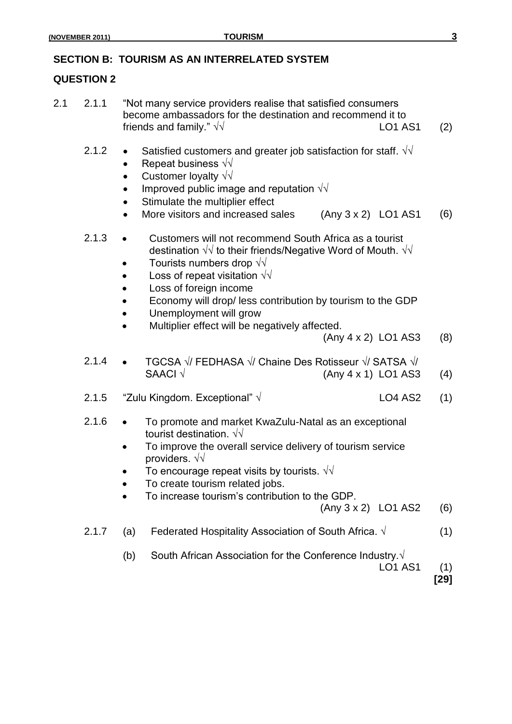## **SECTION B: TOURISM AS AN INTERRELATED SYSTEM**

#### **QUESTION 2**

| 2.1 | 2.1.1 | "Not many service providers realise that satisfied consumers<br>become ambassadors for the destination and recommend it to<br>friends and family." $\sqrt{v}$<br><b>LO1 AS1</b>                                                                                                                                                                                                                                    | (2) |
|-----|-------|--------------------------------------------------------------------------------------------------------------------------------------------------------------------------------------------------------------------------------------------------------------------------------------------------------------------------------------------------------------------------------------------------------------------|-----|
|     | 2.1.2 | Satisfied customers and greater job satisfaction for staff. $\sqrt{v}$<br>$\bullet$<br>Repeat business $\sqrt{v}$<br>$\bullet$<br>Customer loyalty $\sqrt{v}$<br>$\bullet$<br>Improved public image and reputation $\sqrt{v}$<br>Stimulate the multiplier effect<br>$\bullet$<br>More visitors and increased sales<br>$(Any 3 x 2)$ LO1 AS1                                                                        | (6) |
|     | 2.1.3 | Customers will not recommend South Africa as a tourist<br>destination $\sqrt{v}$ to their friends/Negative Word of Mouth. $\sqrt{v}$<br>Tourists numbers drop $\sqrt{v}$<br>Loss of repeat visitation $\sqrt{\sqrt{2}}$<br>Loss of foreign income<br>Economy will drop/ less contribution by tourism to the GDP<br>Unemployment will grow<br>Multiplier effect will be negatively affected.<br>(Any 4 x 2) LO1 AS3 | (8) |
|     | 2.1.4 | TGCSA √/ FEDHASA √/ Chaine Des Rotisseur √/ SATSA √/<br>SAACI √<br>$(Any 4 x 1)$ LO1 AS3                                                                                                                                                                                                                                                                                                                           | (4) |
|     | 2.1.5 | "Zulu Kingdom. Exceptional" $\sqrt{}$<br><b>LO4 AS2</b>                                                                                                                                                                                                                                                                                                                                                            | (1) |
|     | 2.1.6 | To promote and market KwaZulu-Natal as an exceptional<br>$\bullet$<br>tourist destination. $\sqrt{\sqrt{ }}$<br>To improve the overall service delivery of tourism service<br>providers. $\sqrt{\sqrt{ }}$<br>To encourage repeat visits by tourists. $\sqrt{v}$<br>To create tourism related jobs.<br>To increase tourism's contribution to the GDP.<br>$(Any 3 x 2)$ LO1 AS2                                     | (6) |
|     | 2.1.7 | Federated Hospitality Association of South Africa. $\sqrt{ }$<br>(a)                                                                                                                                                                                                                                                                                                                                               | (1) |
|     |       | South African Association for the Conference Industry. V<br>(b)<br><b>LO1 AS1</b>                                                                                                                                                                                                                                                                                                                                  | (1) |

**[29]**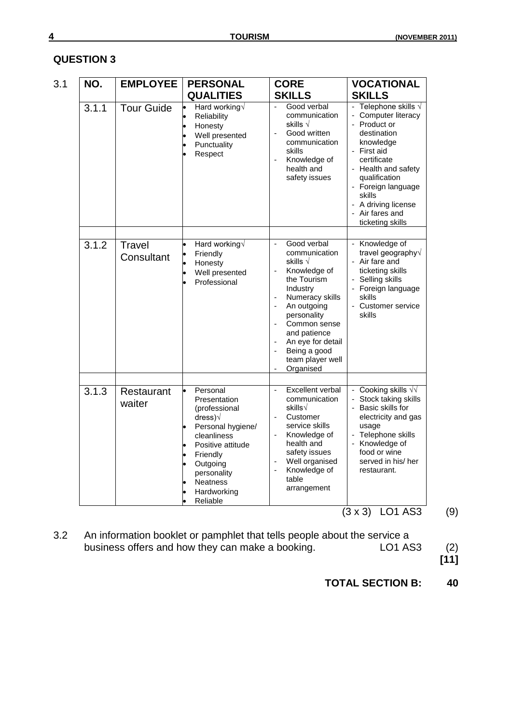#### **QUESTION 3**

| NO.   | <b>EMPLOYEE</b>      | <b>PERSONAL</b>                                                                                                                                                                                             | <b>CORE</b>                                                                                                                                                                                                                                                                            | <b>VOCATIONAL</b>                                                                                                                                                                                                                                                             |
|-------|----------------------|-------------------------------------------------------------------------------------------------------------------------------------------------------------------------------------------------------------|----------------------------------------------------------------------------------------------------------------------------------------------------------------------------------------------------------------------------------------------------------------------------------------|-------------------------------------------------------------------------------------------------------------------------------------------------------------------------------------------------------------------------------------------------------------------------------|
|       |                      | <b>QUALITIES</b>                                                                                                                                                                                            | <b>SKILLS</b>                                                                                                                                                                                                                                                                          | <b>SKILLS</b>                                                                                                                                                                                                                                                                 |
| 3.1.1 | <b>Tour Guide</b>    | Hard working V<br>Reliability<br>Honesty<br>Well presented<br>Punctuality<br>Respect                                                                                                                        | Good verbal<br>communication<br>skills $\sqrt{}$<br>Good written<br>$\frac{1}{2}$<br>communication<br>skills<br>Knowledge of<br>health and<br>safety issues                                                                                                                            | Telephone skills $\sqrt{}$<br>Computer literacy<br>$\blacksquare$<br>Product or<br>destination<br>knowledge<br>- First aid<br>certificate<br>- Health and safety<br>qualification<br>- Foreign language<br>skills<br>- A driving license<br>Air fares and<br>ticketing skills |
| 3.1.2 | Travel<br>Consultant | Hard working V<br>Friendly<br>Honesty<br>Well presented<br>Professional                                                                                                                                     | Good verbal<br>$\blacksquare$<br>communication<br>skills $\sqrt{}$<br>Knowledge of<br>the Tourism<br>Industry<br>Numeracy skills<br>An outgoing<br>personality<br>Common sense<br>and patience<br>An eye for detail<br>Being a good<br>team player well<br>Organised<br>$\blacksquare$ | - Knowledge of<br>travel geography $\sqrt{ }$<br>- Air fare and<br>ticketing skills<br>Selling skills<br>Foreign language<br>skills<br>Customer service<br>skills                                                                                                             |
| 3.1.3 | Restaurant<br>waiter | Personal<br>l.<br>Presentation<br>(professional<br>dress) $\sqrt{ }$<br>Personal hygiene/<br>cleanliness<br>Positive attitude<br>Friendly<br>Outgoing<br>personality<br>Neatness<br>Hardworking<br>Reliable | Excellent verbal<br>$\overline{\phantom{a}}$<br>communication<br>skills√<br>Customer<br>÷,<br>service skills<br>Knowledge of<br>health and<br>safety issues<br>Well organised<br>÷,<br>Knowledge of<br>table<br>arrangement                                                            | Cooking skills $\sqrt{v}$<br>Stock taking skills<br>Basic skills for<br>electricity and gas<br>usage<br>Telephone skills<br>Knowledge of<br>food or wine<br>served in his/ her<br>restaurant.                                                                                 |

3.2 An information booklet or pamphlet that tells people about the service a<br>business offers and how they can make a booking. LO1 AS3 business offers and how they can make a booking. LO1 AS3 (2)

**[11]**

 $(9)$ 

**TOTAL SECTION B: 40**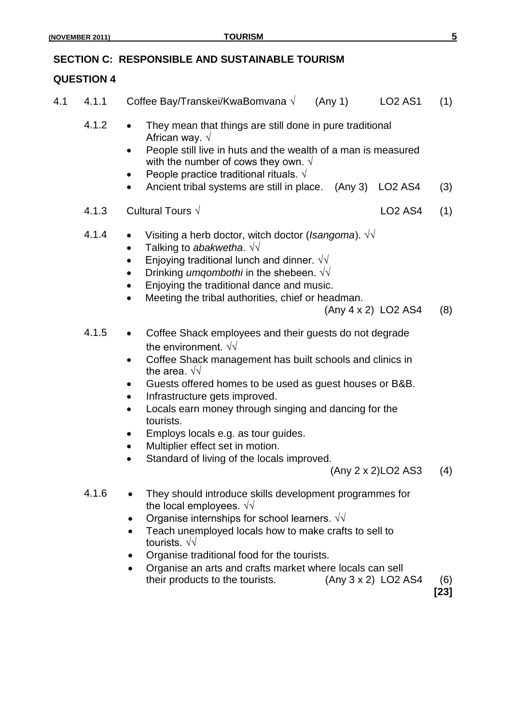### **SECTION C: RESPONSIBLE AND SUSTAINABLE TOURISM**

| 4.1 | 4.1.1 | Coffee Bay/Transkei/KwaBomvana √<br><b>LO2 AS1</b><br>(Any 1)                                                                                                                                                                                                                                                                                                                                                                                                                                                                                                                              | (1)           |
|-----|-------|--------------------------------------------------------------------------------------------------------------------------------------------------------------------------------------------------------------------------------------------------------------------------------------------------------------------------------------------------------------------------------------------------------------------------------------------------------------------------------------------------------------------------------------------------------------------------------------------|---------------|
|     | 4.1.2 | They mean that things are still done in pure traditional<br>$\bullet$<br>African way. $\sqrt{ }$<br>People still live in huts and the wealth of a man is measured<br>$\bullet$<br>with the number of cows they own. $\sqrt{ }$<br>People practice traditional rituals. $\sqrt{ }$<br>٠<br>Ancient tribal systems are still in place.<br>(Any 3)<br>LO <sub>2</sub> AS <sub>4</sub><br>$\bullet$                                                                                                                                                                                            | (3)           |
|     | 4.1.3 | Cultural Tours $\sqrt{ }$<br><b>LO2 AS4</b>                                                                                                                                                                                                                                                                                                                                                                                                                                                                                                                                                | (1)           |
|     | 4.1.4 | Visiting a herb doctor, witch doctor ( <i>Isangoma</i> ). $\sqrt{v}$<br>Talking to abakwetha. $\sqrt{\sqrt{2}}$<br>Enjoying traditional lunch and dinner. $\sqrt{v}$<br>$\bullet$<br>Drinking <i>umqombothi</i> in the shebeen. $\sqrt{v}$<br>$\bullet$<br>Enjoying the traditional dance and music.<br>Meeting the tribal authorities, chief or headman.<br>$\bullet$<br>(Any 4 x 2) LO2 AS4                                                                                                                                                                                              | (8)           |
|     | 4.1.5 | Coffee Shack employees and their guests do not degrade<br>$\bullet$<br>the environment. $\sqrt{v}$<br>Coffee Shack management has built schools and clinics in<br>the area. $\sqrt{v}$<br>Guests offered homes to be used as guest houses or B&B.<br>٠<br>Infrastructure gets improved.<br>$\bullet$<br>Locals earn money through singing and dancing for the<br>$\bullet$<br>tourists.<br>Employs locals e.g. as tour guides.<br>$\bullet$<br>Multiplier effect set in motion.<br>$\bullet$<br>Standard of living of the locals improved.<br>$\bullet$<br>(Any 2 x 2) LO <sub>2</sub> AS3 | (4)           |
|     | 4.1.6 | They should introduce skills development programmes for<br>the local employees. $\sqrt{v}$<br>Organise internships for school learners. $\sqrt{v}$<br>Teach unemployed locals how to make crafts to sell to<br>tourists. $\sqrt{v}$<br>Organise traditional food for the tourists.<br>Organise an arts and crafts market where locals can sell<br>$\bullet$<br>their products to the tourists.<br>$(Any 3 x 2)$ LO <sub>2</sub> AS <sub>4</sub>                                                                                                                                            | (6)<br>$[23]$ |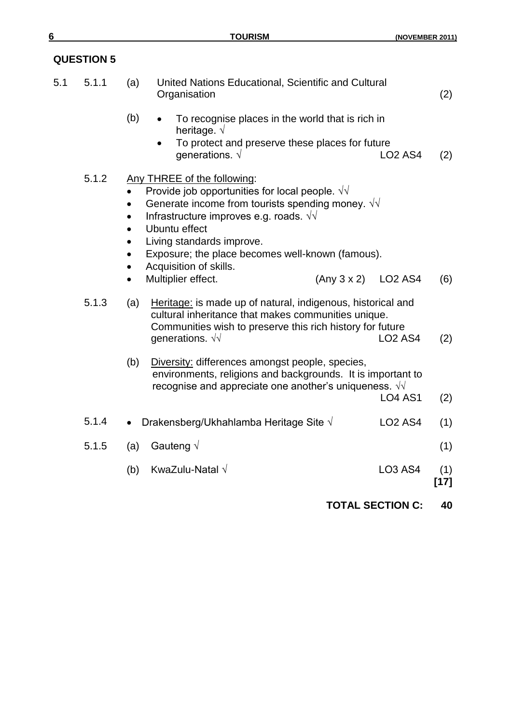| 5.1 | 5.1.1 | (a)                                                           | United Nations Educational, Scientific and Cultural<br>Organisation                                                                                                                                                                                                                                                                                   |             |                         | (2)           |
|-----|-------|---------------------------------------------------------------|-------------------------------------------------------------------------------------------------------------------------------------------------------------------------------------------------------------------------------------------------------------------------------------------------------------------------------------------------------|-------------|-------------------------|---------------|
|     |       | (b)                                                           | To recognise places in the world that is rich in<br>heritage. $\sqrt{ }$<br>To protect and preserve these places for future<br>$\bullet$<br>generations. $\sqrt{ }$                                                                                                                                                                                   |             | <b>LO2 AS4</b>          | (2)           |
|     | 5.1.2 | $\bullet$<br>$\bullet$<br>$\bullet$<br>$\bullet$<br>$\bullet$ | Any THREE of the following:<br>Provide job opportunities for local people. $\sqrt{v}$<br>Generate income from tourists spending money. $\sqrt{v}$<br>Infrastructure improves e.g. roads. $\sqrt{v}$<br>Ubuntu effect<br>Living standards improve.<br>Exposure; the place becomes well-known (famous).<br>Acquisition of skills.<br>Multiplier effect. | (Any 3 x 2) | <b>LO2 AS4</b>          | (6)           |
|     | 5.1.3 | (a)                                                           | Heritage: is made up of natural, indigenous, historical and<br>cultural inheritance that makes communities unique.<br>Communities wish to preserve this rich history for future<br>generations. $\sqrt{v}$                                                                                                                                            |             | <b>LO2 AS4</b>          | (2)           |
|     |       | (b)                                                           | Diversity: differences amongst people, species,<br>environments, religions and backgrounds. It is important to<br>recognise and appreciate one another's uniqueness. $\sqrt{v}$                                                                                                                                                                       |             | <b>LO4 AS1</b>          | (2)           |
|     | 5.1.4 |                                                               | Drakensberg/Ukhahlamba Heritage Site $\sqrt{}$                                                                                                                                                                                                                                                                                                        |             | <b>LO2 AS4</b>          | (1)           |
|     | 5.1.5 | (a)                                                           | Gauteng $\sqrt$                                                                                                                                                                                                                                                                                                                                       |             |                         | (1)           |
|     |       | (b)                                                           | KwaZulu-Natal $\sqrt$                                                                                                                                                                                                                                                                                                                                 |             | <b>LO3 AS4</b>          | (1)<br>$[17]$ |
|     |       |                                                               |                                                                                                                                                                                                                                                                                                                                                       |             | <b>TOTAL SECTION C:</b> | 40            |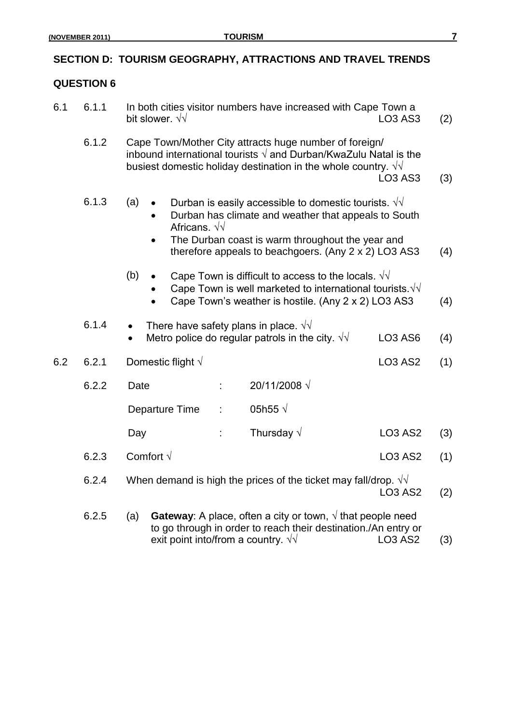## **SECTION D: TOURISM GEOGRAPHY, ATTRACTIONS AND TRAVEL TRENDS**

| 6.1 | 6.1.1 | In both cities visitor numbers have increased with Cape Town a<br>bit slower. $\sqrt{v}$                                                                                                                     | <b>LO3 AS3</b>                  | (2) |
|-----|-------|--------------------------------------------------------------------------------------------------------------------------------------------------------------------------------------------------------------|---------------------------------|-----|
|     | 6.1.2 | Cape Town/Mother City attracts huge number of foreign/<br>inbound international tourists $\sqrt{ }$ and Durban/KwaZulu Natal is the<br>busiest domestic holiday destination in the whole country. $\sqrt{d}$ | <b>LO3 AS3</b>                  | (3) |
|     | 6.1.3 | (a)<br>Durban is easily accessible to domestic tourists. $\sqrt{v}$<br>Durban has climate and weather that appeals to South<br>Africans. $\sqrt{\sqrt{}}$                                                    |                                 |     |
|     |       | The Durban coast is warm throughout the year and<br>therefore appeals to beachgoers. (Any 2 x 2) LO3 AS3                                                                                                     |                                 | (4) |
|     |       | (b)<br>Cape Town is difficult to access to the locals. $\sqrt{v}$<br>Cape Town is well marketed to international tourists. $\sqrt{v}$<br>Cape Town's weather is hostile. (Any 2 x 2) LO3 AS3                 |                                 | (4) |
|     | 6.1.4 | There have safety plans in place. $\sqrt{\sqrt{2}}$<br>Metro police do regular patrols in the city. $\sqrt{v}$                                                                                               | LO <sub>3</sub> A <sub>S6</sub> | (4) |
| 6.2 | 6.2.1 | Domestic flight $\sqrt{}$                                                                                                                                                                                    | <b>LO3 AS2</b>                  | (1) |
|     | 6.2.2 | 20/11/2008 √<br>Date                                                                                                                                                                                         |                                 |     |
|     |       | 05h55 $\sqrt$<br>Departure Time                                                                                                                                                                              |                                 |     |
|     |       | Thursday $\sqrt{}$<br>Day<br>÷                                                                                                                                                                               | <b>LO3 AS2</b>                  | (3) |
|     | 6.2.3 | Comfort $\sqrt{}$                                                                                                                                                                                            | <b>LO3 AS2</b>                  | (1) |
|     | 6.2.4 | When demand is high the prices of the ticket may fall/drop. $\sqrt{v}$                                                                                                                                       | <b>LO3 AS2</b>                  | (2) |
|     | 6.2.5 | <b>Gateway:</b> A place, often a city or town, $\sqrt{}$ that people need<br>(a)<br>to go through in order to reach their destination./An entry or<br>exit point into/from a country. $\sqrt{v}$             | <b>LO3 AS2</b>                  | (3) |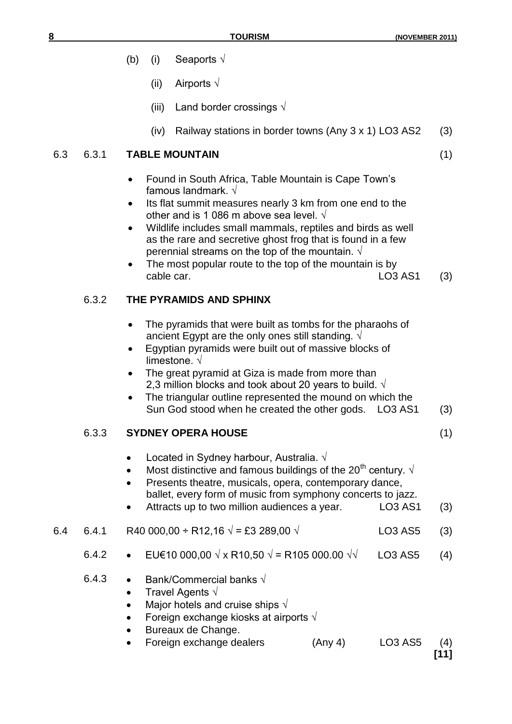- (b) (i) Seaports  $\sqrt{ }$ 
	- (ii) Airports  $\sqrt{ }$
	- (iii) Land border crossings  $\sqrt{ }$
	- (iv) Railway stations in border towns (Any 3 x 1) LO3 AS2 (3)

#### 6.3 6.3.1 **TABLE MOUNTAIN** (1)

- Found in South Africa, Table Mountain is Cape Town's famous landmark. √
- Its flat summit measures nearly 3 km from one end to the other and is 1 086 m above sea level.  $\sqrt{ }$
- Wildlife includes small mammals, reptiles and birds as well as the rare and secretive ghost frog that is found in a few perennial streams on the top of the mountain. √
- The most popular route to the top of the mountain is by cable car. Cable car. Cable car. Cable car. Cable car. Cable car. Cable car. Cable car. Cable car. Cable car. Cable car. Cable car. Cable car. Cable car. Cable car. Cable car. Cable car. Cable car. Cable car. Cable car. Ca

#### 6.3.2 **THE PYRAMIDS AND SPHINX**

- The pyramids that were built as tombs for the pharaohs of ancient Egypt are the only ones still standing.  $\sqrt{ }$
- Egyptian pyramids were built out of massive blocks of limestone. √
- The great pyramid at Giza is made from more than 2,3 million blocks and took about 20 years to build.  $\sqrt{ }$

Located in Sydney harbour, Australia. √

• The triangular outline represented the mound on which the Sun God stood when he created the other gods. LO3 AS1 (3)

#### 6.3.3 **SYDNEY OPERA HOUSE** (1)

**[11]**

Most distinctive and famous buildings of the 20<sup>th</sup> century.  $\sqrt{ }$  Presents theatre, musicals, opera, contemporary dance, ballet, every form of music from symphony concerts to jazz. Attracts up to two million audiences a year. LO3 AS1 (3) 6.4 6.4.1 R40 000,00 ÷ R12,16  $\sqrt{ }$  = £3 289,00  $\sqrt{ }$  LO3 AS5 (3) 6.4.2 EU€10 000,00 √ x R10,50 √ = R105 000.00 √√ LO3 AS5 (4) 6.4.3 • Bank/Commercial banks  $\sqrt{ }$  Travel Agents √ Major hotels and cruise ships  $\sqrt{ }$  Foreign exchange kiosks at airports √ Bureaux de Change. Foreign exchange dealers (Any 4) LO3 AS5 (4)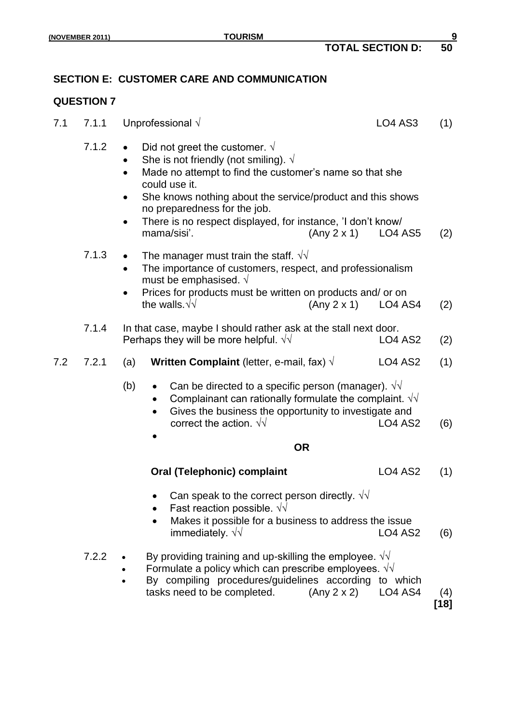#### **SECTION E: CUSTOMER CARE AND COMMUNICATION**

#### **QUESTION 7**

7.1 7.1.1 Unprofessional √ LO4 AS3 (1) 7.1.2 • Did not greet the customer.  $\sqrt{ }$ • She is not friendly (not smiling).  $\sqrt{ }$  Made no attempt to find the customer's name so that she could use it. She knows nothing about the service/product and this shows no preparedness for the job. There is no respect displayed, for instance, 'I don't know/ mama/sisi'. (Any 2 x 1) LO4 AS5 (2) 7.1.3 • The manager must train the staff.  $\sqrt{v}$  The importance of customers, respect, and professionalism must be emphasised.  $\sqrt{ }$  Prices for products must be written on products and/ or on the walls.  $\sqrt{}$  (Any 2 x 1) LO4 AS4 (2) 7.1.4 In that case, maybe I should rather ask at the stall next door. Perhaps they will be more helpful.  $\sqrt{}$  LO4 AS2 (2) 7.2 7.2.1 (a) **Written Complaint** (letter, e-mail, fax)  $\sqrt{ }$  LO4 AS2 (1) (b) • Can be directed to a specific person (manager).  $\sqrt{v}$ • Complainant can rationally formulate the complaint.  $\sqrt{v}$  Gives the business the opportunity to investigate and correct the action.  $\sqrt{V}$  LO4 AS2 (6)  $\bullet$ **OR Oral (Telephonic) complaint** LO4 AS2 (1) • Can speak to the correct person directly.  $\sqrt{v}$ • Fast reaction possible.  $\sqrt{v}$  Makes it possible for a business to address the issue  $immediately.  $\sqrt{√}$  LO4 AS2 (6)$ 7.2.2 • By providing training and up-skilling the employee.  $\sqrt{\sqrt{ }}$ Formulate a policy which can prescribe employees.  $\sqrt{\sqrt{}}$  By compiling procedures/guidelines according to which tasks need to be completed.  $(Any 2 x 2)$   $LO4 AS4$   $(4)$ 

**[18]**